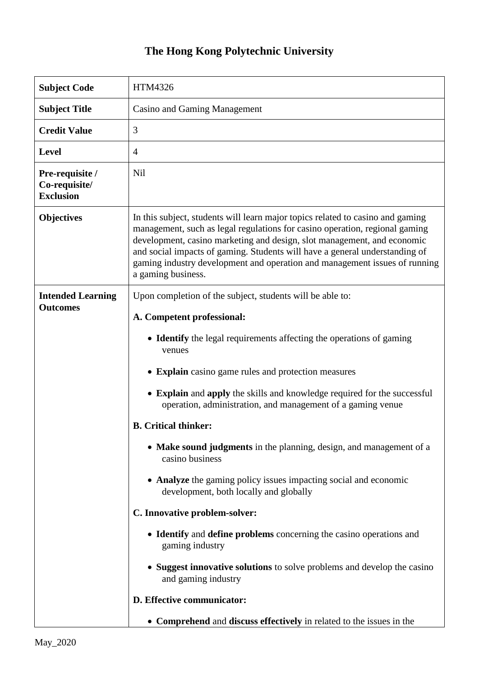## **The Hong Kong Polytechnic University**

| <b>Subject Code</b>                                  | HTM4326                                                                                                                                                                                                                                                                                                                                                                                                                     |
|------------------------------------------------------|-----------------------------------------------------------------------------------------------------------------------------------------------------------------------------------------------------------------------------------------------------------------------------------------------------------------------------------------------------------------------------------------------------------------------------|
| <b>Subject Title</b>                                 | <b>Casino and Gaming Management</b>                                                                                                                                                                                                                                                                                                                                                                                         |
| <b>Credit Value</b>                                  | 3                                                                                                                                                                                                                                                                                                                                                                                                                           |
| <b>Level</b>                                         | $\overline{4}$                                                                                                                                                                                                                                                                                                                                                                                                              |
| Pre-requisite /<br>Co-requisite/<br><b>Exclusion</b> | Nil                                                                                                                                                                                                                                                                                                                                                                                                                         |
| <b>Objectives</b>                                    | In this subject, students will learn major topics related to casino and gaming<br>management, such as legal regulations for casino operation, regional gaming<br>development, casino marketing and design, slot management, and economic<br>and social impacts of gaming. Students will have a general understanding of<br>gaming industry development and operation and management issues of running<br>a gaming business. |
| <b>Intended Learning</b><br><b>Outcomes</b>          | Upon completion of the subject, students will be able to:                                                                                                                                                                                                                                                                                                                                                                   |
|                                                      | A. Competent professional:                                                                                                                                                                                                                                                                                                                                                                                                  |
|                                                      | • Identify the legal requirements affecting the operations of gaming<br>venues                                                                                                                                                                                                                                                                                                                                              |
|                                                      | • Explain casino game rules and protection measures                                                                                                                                                                                                                                                                                                                                                                         |
|                                                      | • Explain and apply the skills and knowledge required for the successful<br>operation, administration, and management of a gaming venue                                                                                                                                                                                                                                                                                     |
|                                                      | <b>B.</b> Critical thinker:                                                                                                                                                                                                                                                                                                                                                                                                 |
|                                                      | • Make sound judgments in the planning, design, and management of a<br>casino business                                                                                                                                                                                                                                                                                                                                      |
|                                                      | • Analyze the gaming policy issues impacting social and economic<br>development, both locally and globally                                                                                                                                                                                                                                                                                                                  |
|                                                      | C. Innovative problem-solver:                                                                                                                                                                                                                                                                                                                                                                                               |
|                                                      | • Identify and define problems concerning the casino operations and<br>gaming industry                                                                                                                                                                                                                                                                                                                                      |
|                                                      | • Suggest innovative solutions to solve problems and develop the casino<br>and gaming industry                                                                                                                                                                                                                                                                                                                              |
|                                                      | D. Effective communicator:                                                                                                                                                                                                                                                                                                                                                                                                  |
|                                                      | • Comprehend and discuss effectively in related to the issues in the                                                                                                                                                                                                                                                                                                                                                        |